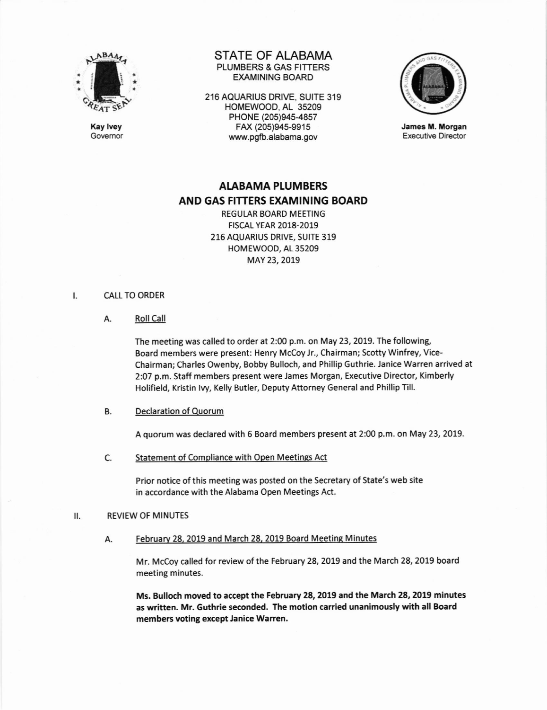

Kay lvey Govemor

# STATE OF ALABAMA PLUMBERS & GAS FITTERS EXAMINING BOARD

216 AQUARIUS ORIVE, SUITE 319 HOMEWOOD, AL 35209 PHONE (205)945-4857 FAX (205)94s-9915 www.pgb.alabama.gov



James M. Morgan Executive Director

# AIABAMA PLUMBERS AND GAS FITTERS EXAMINING BOARD

REGULAR BOARD MEETING FtscAt- YEAR 2018-2019 216 AQUARIUS DRIVE, SUITE 319 HOMEWOOD, AL 35209 MAY 23, 2019

#### CALL TO ORDER  $\mathbf{I}$ .

A. Roll Call

The meeting was called to order at 2:00 p.m. on May 23, 2019. The following, Board members were present: Henry Mccoy lr., Chairman; Scotty winfrey, Vice-Chairman; Charles Owenby, Bobby Bulloch, and Phillip Guthrie. Janice warren arrived at 2:07 p.m. Staff members present were James Morgan, Executive Director, Kimberly Holifield, Kristin lvy, Kelly Butler, Deputy Attorney General and Phillip Till.

# B. Declaration of Quorum

A quorum was declared with 6 Board members present at 2:00 p.m. on May 23,2019.

Statement of Compliance with Open Meetings Act c

> Prior notice ofthis meeting was posted on the Secretary of State's web site in accordance with the Alabama Open Meetings Act.

# II. REVIEW OF MINUTES

# A. February 28, 2019 and March 28, 2019 Board Meeting Minutes

Mr. McCoy called for review of the February 28, 2019 and the March 28, 2019 board meeting minutes.

Ms, Bulloch moved to accept the February 28, 2019 and the March 28, 2019 minutes as written. Mr. Guthrie seconded. The motion carried unanimously with all Board members voting except Janice Warren.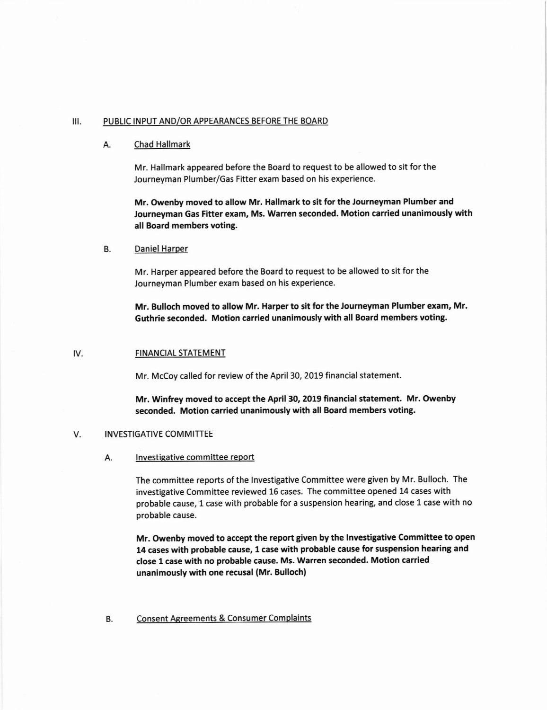### III. PUBLIC INPUT AND/OR APPEARANCES BEFORE THE BOARD

### A. Chad Hallmark

Mr. Hallmark appeared before the Board to request to be allowed to sit for the Journeyman Plumber/Gas Fitter exam based on his experience.

Mr. Owenby moved to allow Mr. Hallmark to sit for the Journeyman Plumber and Journeyman Gas Fitter exam, Ms. Warren seconded. Motion carried unanimously with all Board members voting.

### B. Daniel Haroer

Mr. Harper appeared before the Board to request to be allowed to sit for the Journeyman Plumber exam based on his experience.

Mr. Bulloch moved to allow Mr. Harper to sit for the Journeyman Plumber exam, Mr. Guthrie seconded. Motion carried unanimously with all Board members voting.

### IV. FINANCIAL STATEMENT

Mr. McCoy called for review of the April 30, 2019 financial statement.

Mr. Winfrey moved to accept the April 30, 2019 financial statement. Mr. Owenby seconded. Motion carried unanimously with all Board members voting.

# V. **INVESTIGATIVE COMMITTEE**

#### A. Investigative committee report

The committee reports of the lnvestigative Committee were given by Mr. Bulloch. The investigative Committee reviewed 15 cases. The committee opened 14 cases with probable cause, 1 case with probable for a suspension hearing, and close 1 case with no probable cause.

Mr. Owenby moved to accept the report given by the Investigative Committee to open 14 cases with probable cause, 1 case with probable cause for suspension hearing and close 1 case with no probable cause. Ms. Warren seconded. Motion carried unanimously with one recusal (Mr. Bulloch)

# B. Consent Agreements & Consumer Complaints